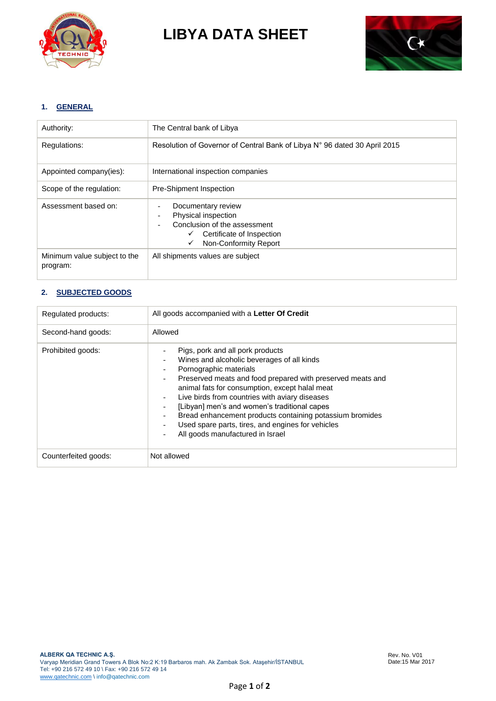

**LIBYA DATA SHEET**



# **1. GENERAL**

| Authority:                               | The Central bank of Libya                                                                                                                            |
|------------------------------------------|------------------------------------------------------------------------------------------------------------------------------------------------------|
| Regulations:                             | Resolution of Governor of Central Bank of Libya N° 96 dated 30 April 2015                                                                            |
| Appointed company(ies):                  | International inspection companies                                                                                                                   |
| Scope of the regulation:                 | <b>Pre-Shipment Inspection</b>                                                                                                                       |
| Assessment based on:                     | Documentary review<br>Physical inspection<br>Conclusion of the assessment<br>Certificate of Inspection<br>$\checkmark$<br>Non-Conformity Report<br>✓ |
| Minimum value subject to the<br>program: | All shipments values are subject                                                                                                                     |

# **2. SUBJECTED GOODS**

| Regulated products:  | All goods accompanied with a Letter Of Credit                                                                                                                                                                                                                                                                                                                                                                                                                                                                                                                                                                                     |
|----------------------|-----------------------------------------------------------------------------------------------------------------------------------------------------------------------------------------------------------------------------------------------------------------------------------------------------------------------------------------------------------------------------------------------------------------------------------------------------------------------------------------------------------------------------------------------------------------------------------------------------------------------------------|
| Second-hand goods:   | Allowed                                                                                                                                                                                                                                                                                                                                                                                                                                                                                                                                                                                                                           |
| Prohibited goods:    | Pigs, pork and all pork products<br>Wines and alcoholic beverages of all kinds<br>Pornographic materials<br>Preserved meats and food prepared with preserved meats and<br>$\qquad \qquad -$<br>animal fats for consumption, except halal meat<br>Live birds from countries with aviary diseases<br>$\overline{\phantom{a}}$<br>[Libyan] men's and women's traditional capes<br>٠<br>Bread enhancement products containing potassium bromides<br>$\qquad \qquad \blacksquare$<br>Used spare parts, tires, and engines for vehicles<br>$\qquad \qquad \blacksquare$<br>All goods manufactured in Israel<br>$\overline{\phantom{a}}$ |
| Counterfeited goods: | Not allowed                                                                                                                                                                                                                                                                                                                                                                                                                                                                                                                                                                                                                       |

Page **1** of **2**